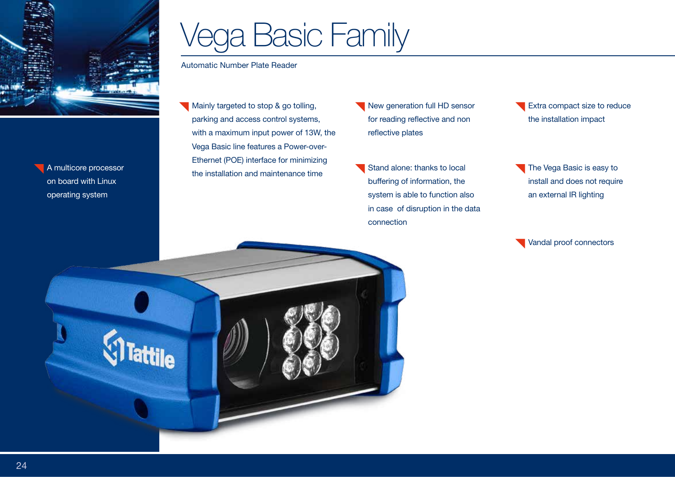

on board with Linux operating system

# Vega Basic Family

Automatic Number Plate Reader

- Mainly targeted to stop & go tolling, parking and access control systems, with a maximum input power of 13W, the Vega Basic line features a Power-over-Ethernet (POE) interface for minimizing **A multicore processor**<br>the installation and maintenance time
- New generation full HD sensor for reading reflective and non reflective plates
- Stand alone: thanks to local buffering of information, the system is able to function also in case of disruption in the data connection
- Extra compact size to reduce the installation impact
- The Vega Basic is easy to install and does not require an external IR lighting

Vandal proof connectors

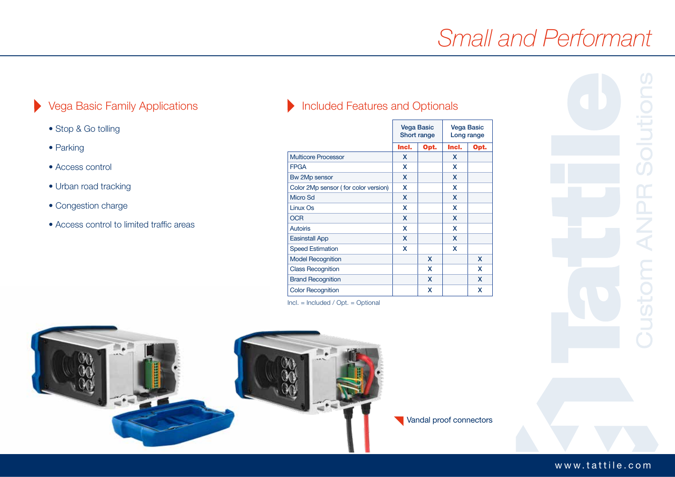## *Small and Performant*

#### $\blacktriangleright$ Vega Basic Family Applications

- Stop & Go tolling
- Parking
- Access control
- Urban road tracking
- Congestion charge
- Access control to limited traffic areas

### Included Features and Optionals

|                                      | <b>Vega Basic</b><br>Short range |      | <b>Vega Basic</b><br>Long range |      |
|--------------------------------------|----------------------------------|------|---------------------------------|------|
|                                      | Incl.                            | Opt. | Incl.                           | Opt. |
| <b>Multicore Processor</b>           | X                                |      | X                               |      |
| <b>FPGA</b>                          | X                                |      | x                               |      |
| Bw 2Mp sensor                        | X                                |      | x                               |      |
| Color 2Mp sensor (for color version) | X                                |      | x                               |      |
| Micro Sd                             | X                                |      | X                               |      |
| Linux Os                             | X                                |      | x                               |      |
| <b>OCR</b>                           | X                                |      | X                               |      |
| <b>Autoiris</b>                      | X                                |      | x                               |      |
| <b>Easinstall App</b>                | X                                |      | x                               |      |
| <b>Speed Estimation</b>              | X                                |      | x                               |      |
| <b>Model Recognition</b>             |                                  | X    |                                 | X    |
| <b>Class Recognition</b>             |                                  | x    |                                 | X    |
| <b>Brand Recognition</b>             |                                  | X    |                                 | X    |
| <b>Color Recognition</b>             |                                  | x    |                                 | x    |
|                                      |                                  |      |                                 |      |

Incl. = Included / Opt. = Optional



Vandal proof connectors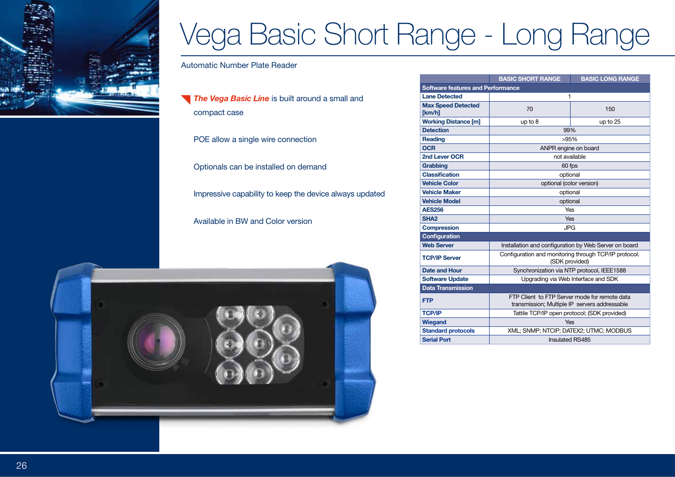

## Vega Basic Short Range - Long Range

Automatic Number Plate Reader

**The Vega Basic Line** is built around a small and compact case

POE allow a single wire connection

Optionals can be installed on demand

Impressive capability to keep the device always updated

Available in BW and Color version



|                                          | <b>BASIC SHORT RANGE</b>                                                                       | <b>BASIC LONG RANGE</b> |  |  |
|------------------------------------------|------------------------------------------------------------------------------------------------|-------------------------|--|--|
| <b>Software features and Performance</b> |                                                                                                |                         |  |  |
| <b>Lane Detected</b>                     | 1                                                                                              |                         |  |  |
| <b>Max Speed Detected</b><br>[km/h]      | 70                                                                                             | 150                     |  |  |
| <b>Working Distance [m]</b>              | up to 8                                                                                        | up to 25                |  |  |
| <b>Detection</b>                         | 99%                                                                                            |                         |  |  |
| Reading                                  | >95%                                                                                           |                         |  |  |
| <b>OCR</b>                               | ANPR engine on board                                                                           |                         |  |  |
| 2nd Lever OCR                            | not available                                                                                  |                         |  |  |
| Grabbing                                 | 60 fps                                                                                         |                         |  |  |
| <b>Classification</b>                    | optional                                                                                       |                         |  |  |
| <b>Vehicle Color</b>                     | optional (color version)                                                                       |                         |  |  |
| <b>Vehicle Maker</b>                     | optional                                                                                       |                         |  |  |
| <b>Vehicle Model</b>                     | optional                                                                                       |                         |  |  |
| <b>AES256</b>                            | Yes                                                                                            |                         |  |  |
| SHA <sub>2</sub>                         | <b>Yes</b>                                                                                     |                         |  |  |
| <b>Compression</b>                       | <b>JPG</b>                                                                                     |                         |  |  |
| <b>Configuration</b>                     |                                                                                                |                         |  |  |
| <b>Web Server</b>                        | Installation and configuration by Web Server on board                                          |                         |  |  |
| <b>TCP/IP Server</b>                     | Configuration and monitoring through TCP/IP protocol.<br>(SDK provided)                        |                         |  |  |
| <b>Date and Hour</b>                     | Synchronization via NTP protocol, IEEE1588                                                     |                         |  |  |
| <b>Software Update</b>                   | Upgrading via Web Interface and SDK                                                            |                         |  |  |
| <b>Data Transmission</b>                 |                                                                                                |                         |  |  |
| <b>FTP</b>                               | FTP Client to FTP Server mode for remote data<br>transmission; Multiple IP servers addressable |                         |  |  |
| <b>TCP/IP</b>                            | Tattile TCP/IP open protocol; (SDK provided)                                                   |                         |  |  |
| <b>Wiegand</b>                           | Yes                                                                                            |                         |  |  |
| <b>Standard protocols</b>                | XML; SNMP; NTCIP; DATEX2; UTMC; MODBUS                                                         |                         |  |  |
| <b>Serial Port</b>                       | Insulated RS485                                                                                |                         |  |  |